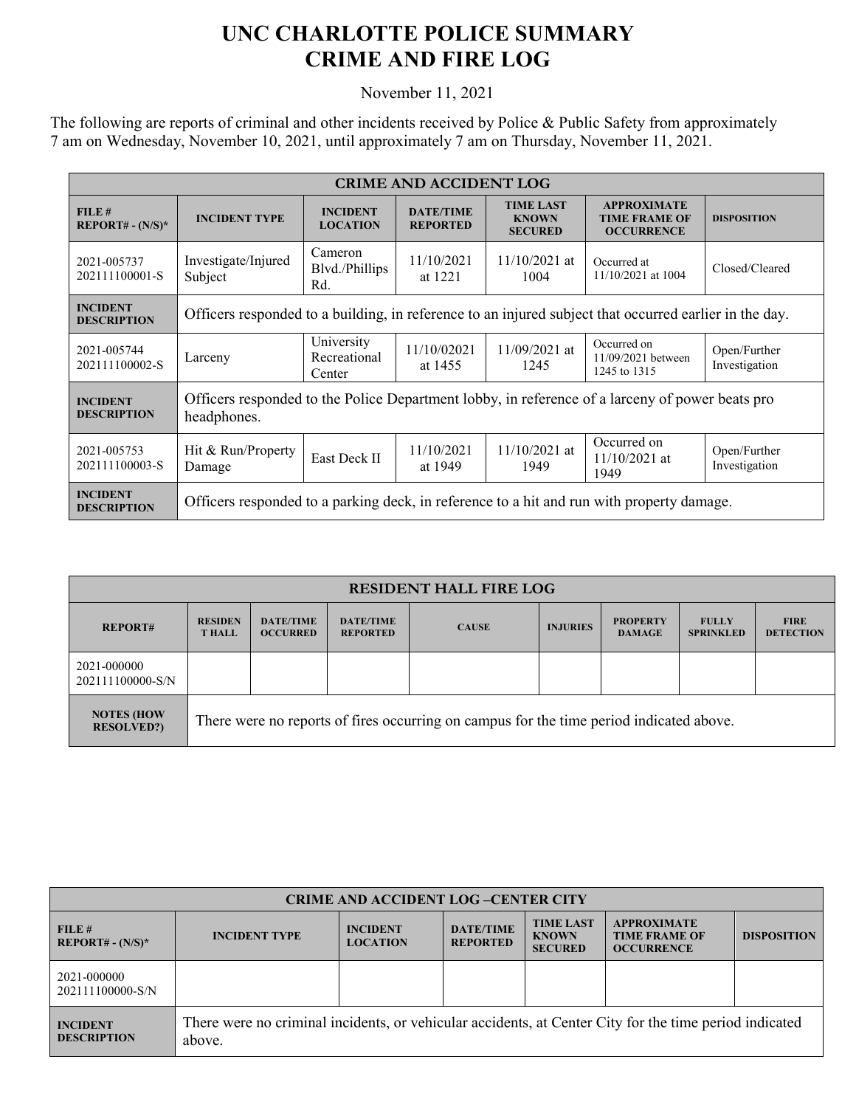## **UNC CHARLOTTE POLICE SUMMARY CRIME AND FIRE LOG**

November 11, 2021

The following are reports of criminal and other incidents received by Police & Public Safety from approximately 7 am on Wednesday, November 10, 2021, until approximately 7 am on Thursday, November 11, 2021.

| <b>CRIME AND ACCIDENT LOG</b>         |                                                                                                                |                                      |                                     |                                                    |                                                                 |                               |  |
|---------------------------------------|----------------------------------------------------------------------------------------------------------------|--------------------------------------|-------------------------------------|----------------------------------------------------|-----------------------------------------------------------------|-------------------------------|--|
| FILE#<br>$REPORT# - (N/S)*$           | <b>INCIDENT TYPE</b>                                                                                           | <b>INCIDENT</b><br><b>LOCATION</b>   | <b>DATE/TIME</b><br><b>REPORTED</b> | <b>TIME LAST</b><br><b>KNOWN</b><br><b>SECURED</b> | <b>APPROXIMATE</b><br><b>TIME FRAME OF</b><br><b>OCCURRENCE</b> | <b>DISPOSITION</b>            |  |
| 2021-005737<br>202111100001-S         | Investigate/Injured<br>Subject                                                                                 | Cameron<br>Blvd./Phillips<br>Rd.     | 11/10/2021<br>at 1221               | $11/10/2021$ at<br>1004                            | Occurred at<br>11/10/2021 at 1004                               | Closed/Cleared                |  |
| <b>INCIDENT</b><br><b>DESCRIPTION</b> | Officers responded to a building, in reference to an injured subject that occurred earlier in the day.         |                                      |                                     |                                                    |                                                                 |                               |  |
| 2021-005744<br>202111100002-S         | Larceny                                                                                                        | University<br>Recreational<br>Center | 11/10/02021<br>at 1455              | $11/09/2021$ at<br>1245                            | Occurred on<br>11/09/2021 between<br>1245 to 1315               | Open/Further<br>Investigation |  |
| <b>INCIDENT</b><br><b>DESCRIPTION</b> | Officers responded to the Police Department lobby, in reference of a larceny of power beats pro<br>headphones. |                                      |                                     |                                                    |                                                                 |                               |  |
| 2021-005753<br>202111100003-S         | Hit & Run/Property<br>Damage                                                                                   | East Deck II                         | 11/10/2021<br>at 1949               | 11/10/2021 at<br>1949                              | Occurred on<br>$11/10/2021$ at<br>1949                          | Open/Further<br>Investigation |  |
| <b>INCIDENT</b><br><b>DESCRIPTION</b> | Officers responded to a parking deck, in reference to a hit and run with property damage.                      |                                      |                                     |                                                    |                                                                 |                               |  |

| <b>RESIDENT HALL FIRE LOG</b>          |                                                                                         |                                     |                                     |              |                 |                                  |                                  |                                 |
|----------------------------------------|-----------------------------------------------------------------------------------------|-------------------------------------|-------------------------------------|--------------|-----------------|----------------------------------|----------------------------------|---------------------------------|
| <b>REPORT#</b>                         | <b>RESIDEN</b><br><b>THALL</b>                                                          | <b>DATE/TIME</b><br><b>OCCURRED</b> | <b>DATE/TIME</b><br><b>REPORTED</b> | <b>CAUSE</b> | <b>INJURIES</b> | <b>PROPERTY</b><br><b>DAMAGE</b> | <b>FULLY</b><br><b>SPRINKLED</b> | <b>FIRE</b><br><b>DETECTION</b> |
| 2021-000000<br>202111100000-S/N        |                                                                                         |                                     |                                     |              |                 |                                  |                                  |                                 |
| <b>NOTES (HOW</b><br><b>RESOLVED?)</b> | There were no reports of fires occurring on campus for the time period indicated above. |                                     |                                     |              |                 |                                  |                                  |                                 |

| <b>CRIME AND ACCIDENT LOG-CENTER CITY</b> |                                                                                                                  |                                    |                                     |                                                    |                                                                 |                    |  |
|-------------------------------------------|------------------------------------------------------------------------------------------------------------------|------------------------------------|-------------------------------------|----------------------------------------------------|-----------------------------------------------------------------|--------------------|--|
| FILE#<br>$REPORT# - (N/S)*$               | <b>INCIDENT TYPE</b>                                                                                             | <b>INCIDENT</b><br><b>LOCATION</b> | <b>DATE/TIME</b><br><b>REPORTED</b> | <b>TIME LAST</b><br><b>KNOWN</b><br><b>SECURED</b> | <b>APPROXIMATE</b><br><b>TIME FRAME OF</b><br><b>OCCURRENCE</b> | <b>DISPOSITION</b> |  |
| 2021-000000<br>202111100000-S/N           |                                                                                                                  |                                    |                                     |                                                    |                                                                 |                    |  |
| <b>INCIDENT</b><br><b>DESCRIPTION</b>     | There were no criminal incidents, or vehicular accidents, at Center City for the time period indicated<br>above. |                                    |                                     |                                                    |                                                                 |                    |  |